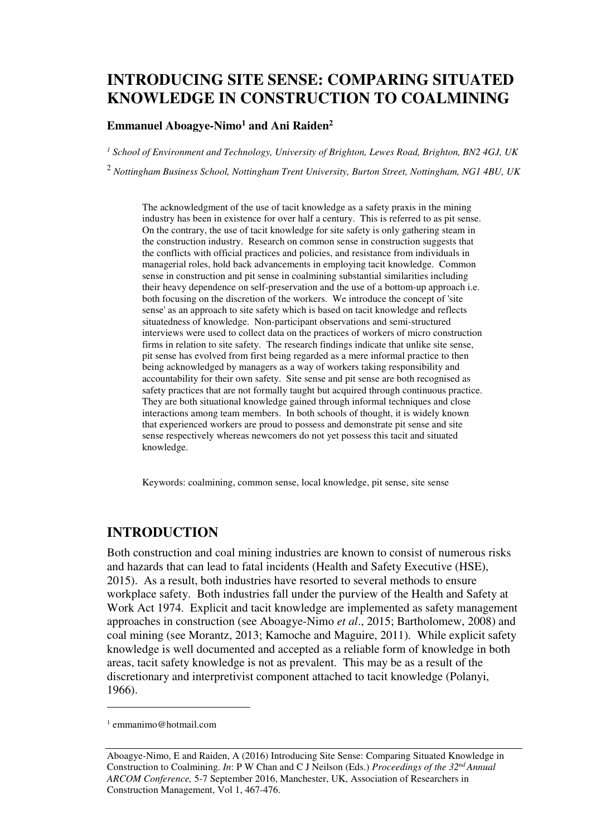# **INTRODUCING SITE SENSE: COMPARING SITUATED KNOWLEDGE IN CONSTRUCTION TO COALMINING**

#### **Emmanuel Aboagye-Nimo<sup>1</sup> and Ani Raiden<sup>2</sup>**

*1 School of Environment and Technology, University of Brighton, Lewes Road, Brighton, BN2 4GJ, UK* 

2  *Nottingham Business School, Nottingham Trent University, Burton Street, Nottingham, NG1 4BU, UK* 

The acknowledgment of the use of tacit knowledge as a safety praxis in the mining industry has been in existence for over half a century. This is referred to as pit sense. On the contrary, the use of tacit knowledge for site safety is only gathering steam in the construction industry. Research on common sense in construction suggests that the conflicts with official practices and policies, and resistance from individuals in managerial roles, hold back advancements in employing tacit knowledge. Common sense in construction and pit sense in coalmining substantial similarities including their heavy dependence on self-preservation and the use of a bottom-up approach i.e. both focusing on the discretion of the workers. We introduce the concept of 'site sense' as an approach to site safety which is based on tacit knowledge and reflects situatedness of knowledge. Non-participant observations and semi-structured interviews were used to collect data on the practices of workers of micro construction firms in relation to site safety. The research findings indicate that unlike site sense, pit sense has evolved from first being regarded as a mere informal practice to then being acknowledged by managers as a way of workers taking responsibility and accountability for their own safety. Site sense and pit sense are both recognised as safety practices that are not formally taught but acquired through continuous practice. They are both situational knowledge gained through informal techniques and close interactions among team members. In both schools of thought, it is widely known that experienced workers are proud to possess and demonstrate pit sense and site sense respectively whereas newcomers do not yet possess this tacit and situated knowledge.

Keywords: coalmining, common sense, local knowledge, pit sense, site sense

# **INTRODUCTION**

Both construction and coal mining industries are known to consist of numerous risks and hazards that can lead to fatal incidents (Health and Safety Executive (HSE), 2015). As a result, both industries have resorted to several methods to ensure workplace safety. Both industries fall under the purview of the Health and Safety at Work Act 1974. Explicit and tacit knowledge are implemented as safety management approaches in construction (see Aboagye-Nimo *et al*., 2015; Bartholomew, 2008) and coal mining (see Morantz, 2013; Kamoche and Maguire, 2011). While explicit safety knowledge is well documented and accepted as a reliable form of knowledge in both areas, tacit safety knowledge is not as prevalent. This may be as a result of the discretionary and interpretivist component attached to tacit knowledge (Polanyi, 1966).

 $\overline{a}$ 

<sup>1</sup> emmanimo@hotmail.com

Aboagye-Nimo, E and Raiden, A (2016) Introducing Site Sense: Comparing Situated Knowledge in Construction to Coalmining. *In*: P W Chan and C J Neilson (Eds.) *Proceedings of the 32nd Annual ARCOM Conference,* 5-7 September 2016, Manchester, UK, Association of Researchers in Construction Management, Vol 1, 467-476.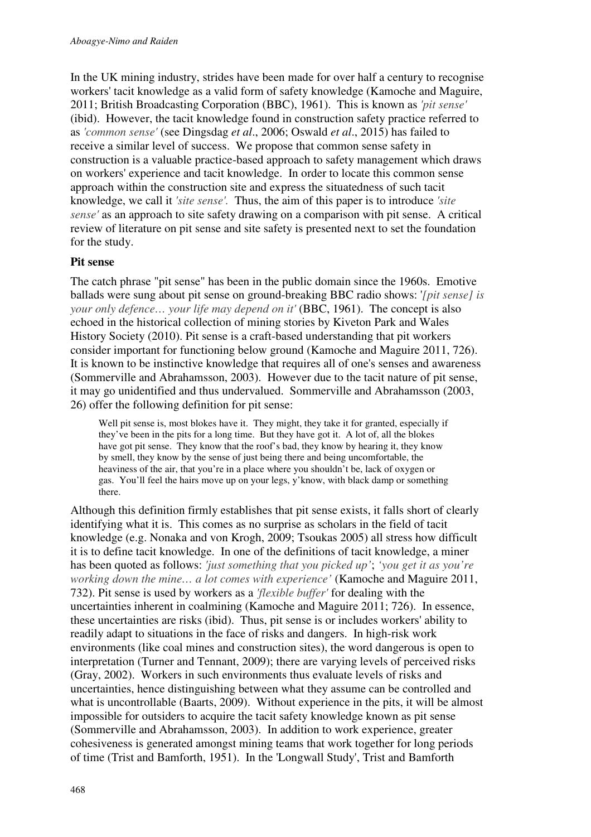In the UK mining industry, strides have been made for over half a century to recognise workers' tacit knowledge as a valid form of safety knowledge (Kamoche and Maguire, 2011; British Broadcasting Corporation (BBC), 1961). This is known as *'pit sense'* (ibid). However, the tacit knowledge found in construction safety practice referred to as *'common sense'* (see Dingsdag *et al*., 2006; Oswald *et al*., 2015) has failed to receive a similar level of success. We propose that common sense safety in construction is a valuable practice-based approach to safety management which draws on workers' experience and tacit knowledge. In order to locate this common sense approach within the construction site and express the situatedness of such tacit knowledge, we call it *'site sense'.* Thus, the aim of this paper is to introduce *'site sense'* as an approach to site safety drawing on a comparison with pit sense. A critical review of literature on pit sense and site safety is presented next to set the foundation for the study.

#### **Pit sense**

The catch phrase "pit sense" has been in the public domain since the 1960s. Emotive ballads were sung about pit sense on ground-breaking BBC radio shows: '*[pit sense] is your only defence... your life may depend on it'* (BBC, 1961). The concept is also echoed in the historical collection of mining stories by Kiveton Park and Wales History Society (2010). Pit sense is a craft-based understanding that pit workers consider important for functioning below ground (Kamoche and Maguire 2011, 726). It is known to be instinctive knowledge that requires all of one's senses and awareness (Sommerville and Abrahamsson, 2003). However due to the tacit nature of pit sense, it may go unidentified and thus undervalued. Sommerville and Abrahamsson (2003, 26) offer the following definition for pit sense:

Well pit sense is, most blokes have it. They might, they take it for granted, especially if they've been in the pits for a long time. But they have got it. A lot of, all the blokes have got pit sense. They know that the roof's bad, they know by hearing it, they know by smell, they know by the sense of just being there and being uncomfortable, the heaviness of the air, that you're in a place where you shouldn't be, lack of oxygen or gas. You'll feel the hairs move up on your legs, y'know, with black damp or something there.

Although this definition firmly establishes that pit sense exists, it falls short of clearly identifying what it is. This comes as no surprise as scholars in the field of tacit knowledge (e.g. Nonaka and von Krogh, 2009; Tsoukas 2005) all stress how difficult it is to define tacit knowledge. In one of the definitions of tacit knowledge, a miner has been quoted as follows: *'just something that you picked up'*; *'you get it as you're working down the mine… a lot comes with experience'* (Kamoche and Maguire 2011, 732). Pit sense is used by workers as a *'flexible buffer'* for dealing with the uncertainties inherent in coalmining (Kamoche and Maguire 2011; 726). In essence, these uncertainties are risks (ibid). Thus, pit sense is or includes workers' ability to readily adapt to situations in the face of risks and dangers. In high-risk work environments (like coal mines and construction sites), the word dangerous is open to interpretation (Turner and Tennant, 2009); there are varying levels of perceived risks (Gray, 2002). Workers in such environments thus evaluate levels of risks and uncertainties, hence distinguishing between what they assume can be controlled and what is uncontrollable (Baarts, 2009). Without experience in the pits, it will be almost impossible for outsiders to acquire the tacit safety knowledge known as pit sense (Sommerville and Abrahamsson, 2003). In addition to work experience, greater cohesiveness is generated amongst mining teams that work together for long periods of time (Trist and Bamforth, 1951). In the 'Longwall Study', Trist and Bamforth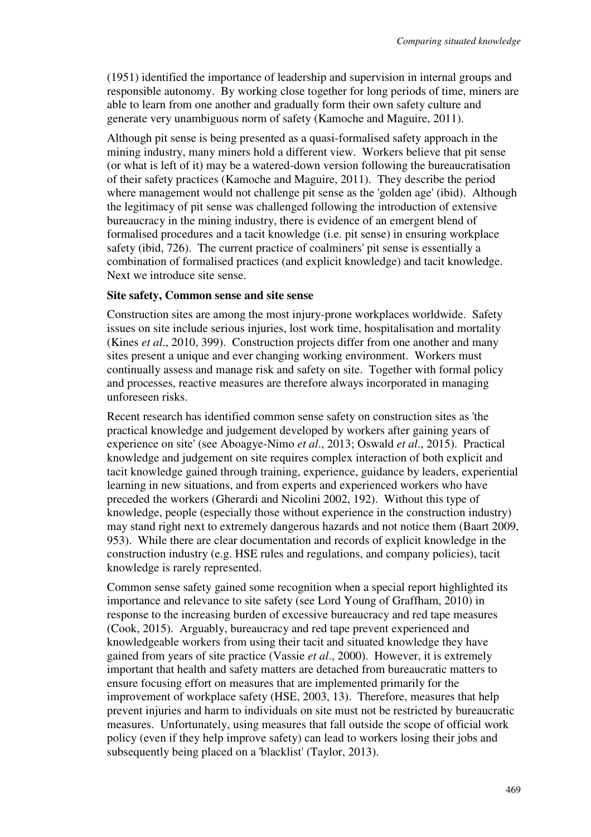(1951) identified the importance of leadership and supervision in internal groups and responsible autonomy. By working close together for long periods of time, miners are able to learn from one another and gradually form their own safety culture and generate very unambiguous norm of safety (Kamoche and Maguire, 2011).

Although pit sense is being presented as a quasi-formalised safety approach in the mining industry, many miners hold a different view. Workers believe that pit sense (or what is left of it) may be a watered-down version following the bureaucratisation of their safety practices (Kamoche and Maguire, 2011). They describe the period where management would not challenge pit sense as the 'golden age' (ibid). Although the legitimacy of pit sense was challenged following the introduction of extensive bureaucracy in the mining industry, there is evidence of an emergent blend of formalised procedures and a tacit knowledge (i.e. pit sense) in ensuring workplace safety (ibid, 726). The current practice of coalminers' pit sense is essentially a combination of formalised practices (and explicit knowledge) and tacit knowledge. Next we introduce site sense.

#### **Site safety, Common sense and site sense**

Construction sites are among the most injury-prone workplaces worldwide. Safety issues on site include serious injuries, lost work time, hospitalisation and mortality (Kines *et al*., 2010, 399). Construction projects differ from one another and many sites present a unique and ever changing working environment. Workers must continually assess and manage risk and safety on site. Together with formal policy and processes, reactive measures are therefore always incorporated in managing unforeseen risks.

Recent research has identified common sense safety on construction sites as 'the practical knowledge and judgement developed by workers after gaining years of experience on site' (see Aboagye-Nimo *et al*., 2013; Oswald *et al*., 2015). Practical knowledge and judgement on site requires complex interaction of both explicit and tacit knowledge gained through training, experience, guidance by leaders, experiential learning in new situations, and from experts and experienced workers who have preceded the workers (Gherardi and Nicolini 2002, 192). Without this type of knowledge, people (especially those without experience in the construction industry) may stand right next to extremely dangerous hazards and not notice them (Baart 2009, 953). While there are clear documentation and records of explicit knowledge in the construction industry (e.g. HSE rules and regulations, and company policies), tacit knowledge is rarely represented.

Common sense safety gained some recognition when a special report highlighted its importance and relevance to site safety (see Lord Young of Graffham, 2010) in response to the increasing burden of excessive bureaucracy and red tape measures (Cook, 2015). Arguably, bureaucracy and red tape prevent experienced and knowledgeable workers from using their tacit and situated knowledge they have gained from years of site practice (Vassie *et al*., 2000). However, it is extremely important that health and safety matters are detached from bureaucratic matters to ensure focusing effort on measures that are implemented primarily for the improvement of workplace safety (HSE, 2003, 13). Therefore, measures that help prevent injuries and harm to individuals on site must not be restricted by bureaucratic measures. Unfortunately, using measures that fall outside the scope of official work policy (even if they help improve safety) can lead to workers losing their jobs and subsequently being placed on a 'blacklist' (Taylor, 2013).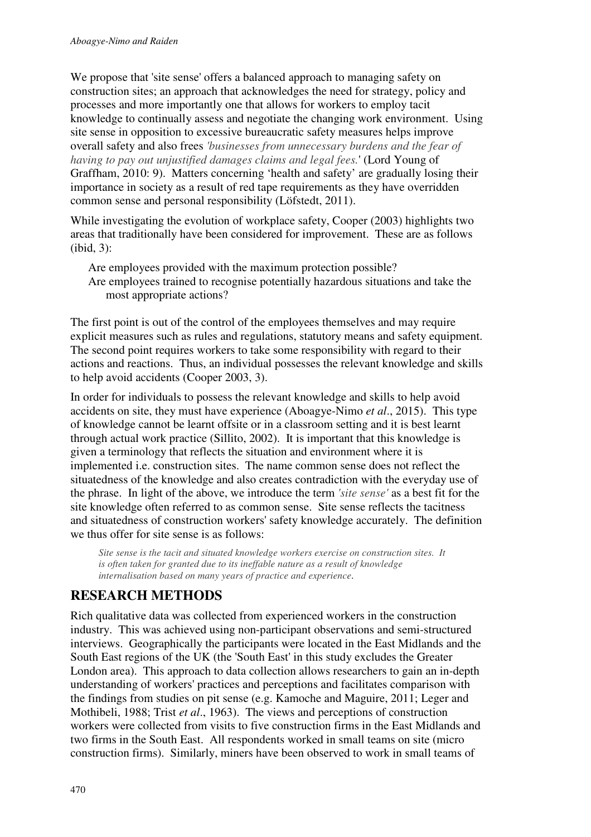We propose that 'site sense' offers a balanced approach to managing safety on construction sites; an approach that acknowledges the need for strategy, policy and processes and more importantly one that allows for workers to employ tacit knowledge to continually assess and negotiate the changing work environment. Using site sense in opposition to excessive bureaucratic safety measures helps improve overall safety and also frees *'businesses from unnecessary burdens and the fear of having to pay out unjustified damages claims and legal fees.*' (Lord Young of Graffham, 2010: 9). Matters concerning 'health and safety' are gradually losing their importance in society as a result of red tape requirements as they have overridden common sense and personal responsibility (Löfstedt, 2011).

While investigating the evolution of workplace safety, Cooper (2003) highlights two areas that traditionally have been considered for improvement. These are as follows (ibid, 3):

Are employees provided with the maximum protection possible? Are employees trained to recognise potentially hazardous situations and take the most appropriate actions?

The first point is out of the control of the employees themselves and may require explicit measures such as rules and regulations, statutory means and safety equipment. The second point requires workers to take some responsibility with regard to their actions and reactions. Thus, an individual possesses the relevant knowledge and skills to help avoid accidents (Cooper 2003, 3).

In order for individuals to possess the relevant knowledge and skills to help avoid accidents on site, they must have experience (Aboagye-Nimo *et al*., 2015). This type of knowledge cannot be learnt offsite or in a classroom setting and it is best learnt through actual work practice (Sillito, 2002). It is important that this knowledge is given a terminology that reflects the situation and environment where it is implemented i.e. construction sites. The name common sense does not reflect the situatedness of the knowledge and also creates contradiction with the everyday use of the phrase. In light of the above, we introduce the term *'site sense'* as a best fit for the site knowledge often referred to as common sense. Site sense reflects the tacitness and situatedness of construction workers' safety knowledge accurately. The definition we thus offer for site sense is as follows:

*Site sense is the tacit and situated knowledge workers exercise on construction sites. It is often taken for granted due to its ineffable nature as a result of knowledge internalisation based on many years of practice and experience*.

# **RESEARCH METHODS**

Rich qualitative data was collected from experienced workers in the construction industry. This was achieved using non-participant observations and semi-structured interviews. Geographically the participants were located in the East Midlands and the South East regions of the UK (the 'South East' in this study excludes the Greater London area). This approach to data collection allows researchers to gain an in-depth understanding of workers' practices and perceptions and facilitates comparison with the findings from studies on pit sense (e.g. Kamoche and Maguire, 2011; Leger and Mothibeli, 1988; Trist *et al*., 1963). The views and perceptions of construction workers were collected from visits to five construction firms in the East Midlands and two firms in the South East. All respondents worked in small teams on site (micro construction firms). Similarly, miners have been observed to work in small teams of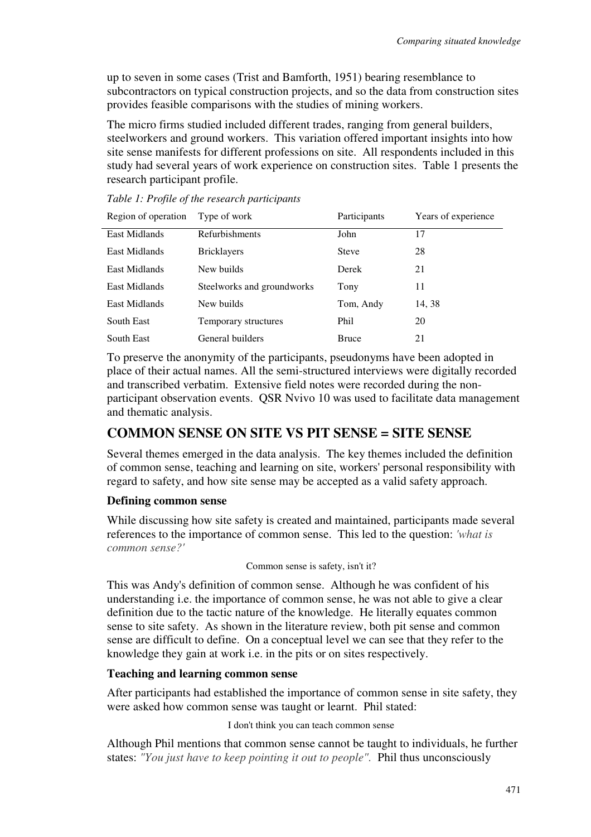up to seven in some cases (Trist and Bamforth, 1951) bearing resemblance to subcontractors on typical construction projects, and so the data from construction sites provides feasible comparisons with the studies of mining workers.

The micro firms studied included different trades, ranging from general builders, steelworkers and ground workers. This variation offered important insights into how site sense manifests for different professions on site. All respondents included in this study had several years of work experience on construction sites. Table 1 presents the research participant profile.

| Region of operation | Type of work               | Participants | Years of experience |
|---------------------|----------------------------|--------------|---------------------|
| East Midlands       | Refurbishments             | John         | 17                  |
| East Midlands       | <b>Bricklayers</b>         | <b>Steve</b> | 28                  |
| East Midlands       | New builds                 | Derek        | 21                  |
| East Midlands       | Steelworks and groundworks | Tony         | 11                  |
| East Midlands       | New builds                 | Tom, Andy    | 14, 38              |
| South East          | Temporary structures       | Phil         | 20                  |
| South East          | General builders           | <b>Bruce</b> | 21                  |

*Table 1: Profile of the research participants* 

To preserve the anonymity of the participants, pseudonyms have been adopted in place of their actual names. All the semi-structured interviews were digitally recorded and transcribed verbatim. Extensive field notes were recorded during the nonparticipant observation events. QSR Nvivo 10 was used to facilitate data management and thematic analysis.

# **COMMON SENSE ON SITE VS PIT SENSE = SITE SENSE**

Several themes emerged in the data analysis. The key themes included the definition of common sense, teaching and learning on site, workers' personal responsibility with regard to safety, and how site sense may be accepted as a valid safety approach.

#### **Defining common sense**

While discussing how site safety is created and maintained, participants made several references to the importance of common sense. This led to the question: *'what is common sense?'* 

```
Common sense is safety, isn't it?
```
This was Andy's definition of common sense. Although he was confident of his understanding i.e. the importance of common sense, he was not able to give a clear definition due to the tactic nature of the knowledge. He literally equates common sense to site safety. As shown in the literature review, both pit sense and common sense are difficult to define. On a conceptual level we can see that they refer to the knowledge they gain at work i.e. in the pits or on sites respectively.

#### **Teaching and learning common sense**

After participants had established the importance of common sense in site safety, they were asked how common sense was taught or learnt. Phil stated:

I don't think you can teach common sense

Although Phil mentions that common sense cannot be taught to individuals, he further states: *"You just have to keep pointing it out to people".* Phil thus unconsciously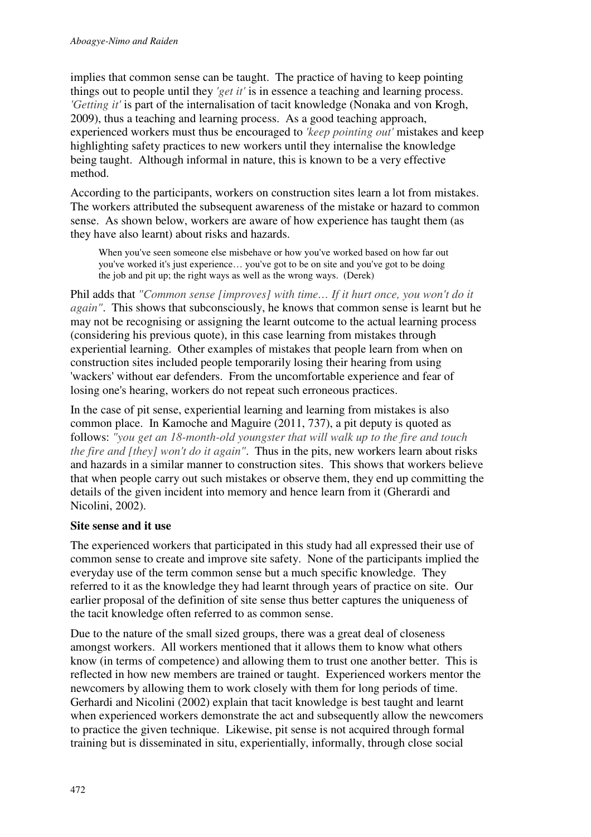implies that common sense can be taught. The practice of having to keep pointing things out to people until they *'get it'* is in essence a teaching and learning process. *'Getting it'* is part of the internalisation of tacit knowledge (Nonaka and von Krogh, 2009), thus a teaching and learning process. As a good teaching approach, experienced workers must thus be encouraged to *'keep pointing out'* mistakes and keep highlighting safety practices to new workers until they internalise the knowledge being taught. Although informal in nature, this is known to be a very effective method.

According to the participants, workers on construction sites learn a lot from mistakes. The workers attributed the subsequent awareness of the mistake or hazard to common sense. As shown below, workers are aware of how experience has taught them (as they have also learnt) about risks and hazards.

When you've seen someone else misbehave or how you've worked based on how far out you've worked it's just experience… you've got to be on site and you've got to be doing the job and pit up; the right ways as well as the wrong ways. (Derek)

Phil adds that *"Common sense [improves] with time… If it hurt once, you won't do it again"*. This shows that subconsciously, he knows that common sense is learnt but he may not be recognising or assigning the learnt outcome to the actual learning process (considering his previous quote), in this case learning from mistakes through experiential learning. Other examples of mistakes that people learn from when on construction sites included people temporarily losing their hearing from using 'wackers' without ear defenders. From the uncomfortable experience and fear of losing one's hearing, workers do not repeat such erroneous practices.

In the case of pit sense, experiential learning and learning from mistakes is also common place. In Kamoche and Maguire (2011, 737), a pit deputy is quoted as follows: *"you get an 18-month-old youngster that will walk up to the fire and touch the fire and [they] won't do it again"*. Thus in the pits, new workers learn about risks and hazards in a similar manner to construction sites. This shows that workers believe that when people carry out such mistakes or observe them, they end up committing the details of the given incident into memory and hence learn from it (Gherardi and Nicolini, 2002).

### **Site sense and it use**

The experienced workers that participated in this study had all expressed their use of common sense to create and improve site safety. None of the participants implied the everyday use of the term common sense but a much specific knowledge. They referred to it as the knowledge they had learnt through years of practice on site. Our earlier proposal of the definition of site sense thus better captures the uniqueness of the tacit knowledge often referred to as common sense.

Due to the nature of the small sized groups, there was a great deal of closeness amongst workers. All workers mentioned that it allows them to know what others know (in terms of competence) and allowing them to trust one another better. This is reflected in how new members are trained or taught. Experienced workers mentor the newcomers by allowing them to work closely with them for long periods of time. Gerhardi and Nicolini (2002) explain that tacit knowledge is best taught and learnt when experienced workers demonstrate the act and subsequently allow the newcomers to practice the given technique. Likewise, pit sense is not acquired through formal training but is disseminated in situ, experientially, informally, through close social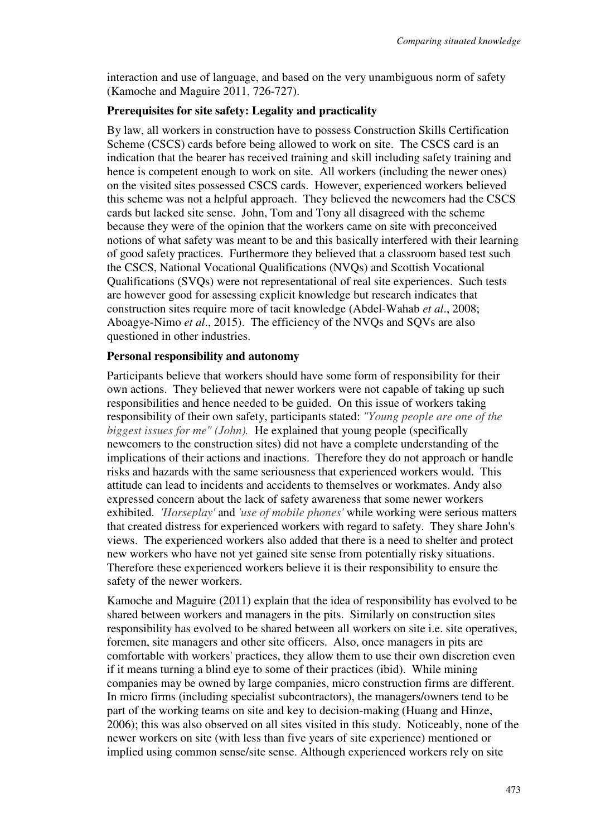interaction and use of language, and based on the very unambiguous norm of safety (Kamoche and Maguire 2011, 726-727).

#### **Prerequisites for site safety: Legality and practicality**

By law, all workers in construction have to possess Construction Skills Certification Scheme (CSCS) cards before being allowed to work on site. The CSCS card is an indication that the bearer has received training and skill including safety training and hence is competent enough to work on site. All workers (including the newer ones) on the visited sites possessed CSCS cards. However, experienced workers believed this scheme was not a helpful approach. They believed the newcomers had the CSCS cards but lacked site sense. John, Tom and Tony all disagreed with the scheme because they were of the opinion that the workers came on site with preconceived notions of what safety was meant to be and this basically interfered with their learning of good safety practices. Furthermore they believed that a classroom based test such the CSCS, National Vocational Qualifications (NVQs) and Scottish Vocational Qualifications (SVQs) were not representational of real site experiences. Such tests are however good for assessing explicit knowledge but research indicates that construction sites require more of tacit knowledge (Abdel-Wahab *et al*., 2008; Aboagye-Nimo *et al*., 2015). The efficiency of the NVQs and SQVs are also questioned in other industries.

#### **Personal responsibility and autonomy**

Participants believe that workers should have some form of responsibility for their own actions. They believed that newer workers were not capable of taking up such responsibilities and hence needed to be guided. On this issue of workers taking responsibility of their own safety, participants stated: *"Young people are one of the biggest issues for me" (John).* He explained that young people (specifically newcomers to the construction sites) did not have a complete understanding of the implications of their actions and inactions. Therefore they do not approach or handle risks and hazards with the same seriousness that experienced workers would. This attitude can lead to incidents and accidents to themselves or workmates. Andy also expressed concern about the lack of safety awareness that some newer workers exhibited. *'Horseplay'* and *'use of mobile phones'* while working were serious matters that created distress for experienced workers with regard to safety. They share John's views. The experienced workers also added that there is a need to shelter and protect new workers who have not yet gained site sense from potentially risky situations. Therefore these experienced workers believe it is their responsibility to ensure the safety of the newer workers.

Kamoche and Maguire (2011) explain that the idea of responsibility has evolved to be shared between workers and managers in the pits. Similarly on construction sites responsibility has evolved to be shared between all workers on site i.e. site operatives, foremen, site managers and other site officers. Also, once managers in pits are comfortable with workers' practices, they allow them to use their own discretion even if it means turning a blind eye to some of their practices (ibid). While mining companies may be owned by large companies, micro construction firms are different. In micro firms (including specialist subcontractors), the managers/owners tend to be part of the working teams on site and key to decision-making (Huang and Hinze, 2006); this was also observed on all sites visited in this study. Noticeably, none of the newer workers on site (with less than five years of site experience) mentioned or implied using common sense/site sense. Although experienced workers rely on site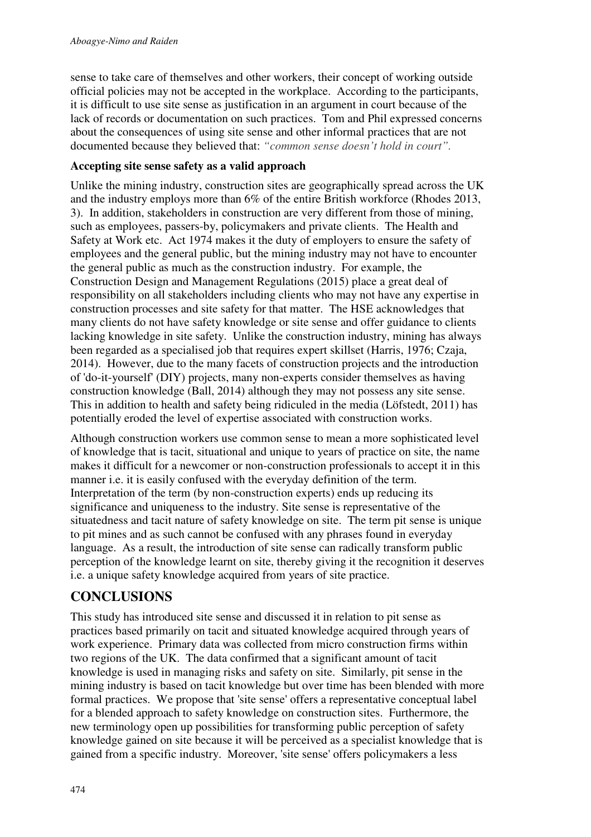sense to take care of themselves and other workers, their concept of working outside official policies may not be accepted in the workplace. According to the participants, it is difficult to use site sense as justification in an argument in court because of the lack of records or documentation on such practices. Tom and Phil expressed concerns about the consequences of using site sense and other informal practices that are not documented because they believed that: *"common sense doesn't hold in court".*

### **Accepting site sense safety as a valid approach**

Unlike the mining industry, construction sites are geographically spread across the UK and the industry employs more than 6% of the entire British workforce (Rhodes 2013, 3). In addition, stakeholders in construction are very different from those of mining, such as employees, passers-by, policymakers and private clients. The Health and Safety at Work etc. Act 1974 makes it the duty of employers to ensure the safety of employees and the general public, but the mining industry may not have to encounter the general public as much as the construction industry. For example, the Construction Design and Management Regulations (2015) place a great deal of responsibility on all stakeholders including clients who may not have any expertise in construction processes and site safety for that matter. The HSE acknowledges that many clients do not have safety knowledge or site sense and offer guidance to clients lacking knowledge in site safety. Unlike the construction industry, mining has always been regarded as a specialised job that requires expert skillset (Harris, 1976; Czaja, 2014). However, due to the many facets of construction projects and the introduction of 'do-it-yourself' (DIY) projects, many non-experts consider themselves as having construction knowledge (Ball, 2014) although they may not possess any site sense. This in addition to health and safety being ridiculed in the media (Löfstedt, 2011) has potentially eroded the level of expertise associated with construction works.

Although construction workers use common sense to mean a more sophisticated level of knowledge that is tacit, situational and unique to years of practice on site, the name makes it difficult for a newcomer or non-construction professionals to accept it in this manner i.e. it is easily confused with the everyday definition of the term. Interpretation of the term (by non-construction experts) ends up reducing its significance and uniqueness to the industry. Site sense is representative of the situatedness and tacit nature of safety knowledge on site. The term pit sense is unique to pit mines and as such cannot be confused with any phrases found in everyday language. As a result, the introduction of site sense can radically transform public perception of the knowledge learnt on site, thereby giving it the recognition it deserves i.e. a unique safety knowledge acquired from years of site practice.

# **CONCLUSIONS**

This study has introduced site sense and discussed it in relation to pit sense as practices based primarily on tacit and situated knowledge acquired through years of work experience. Primary data was collected from micro construction firms within two regions of the UK. The data confirmed that a significant amount of tacit knowledge is used in managing risks and safety on site. Similarly, pit sense in the mining industry is based on tacit knowledge but over time has been blended with more formal practices. We propose that 'site sense' offers a representative conceptual label for a blended approach to safety knowledge on construction sites. Furthermore, the new terminology open up possibilities for transforming public perception of safety knowledge gained on site because it will be perceived as a specialist knowledge that is gained from a specific industry. Moreover, 'site sense' offers policymakers a less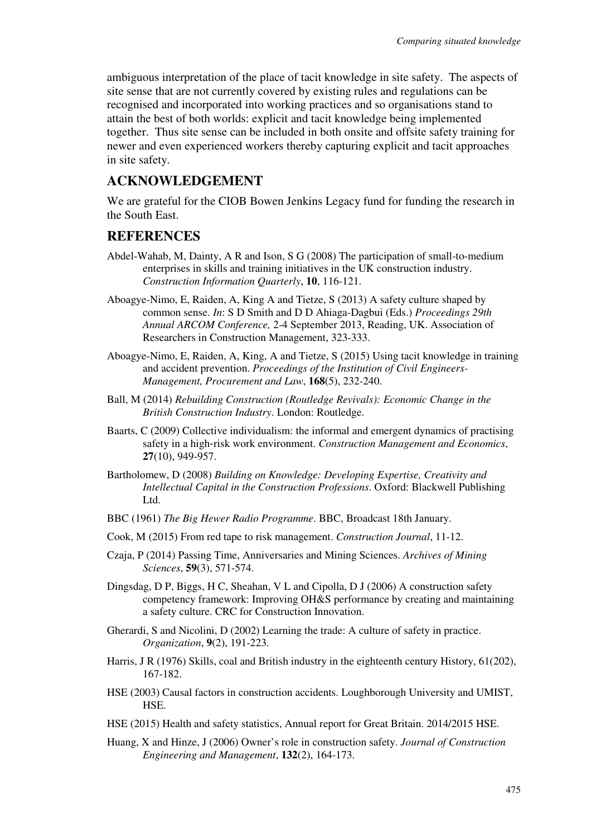ambiguous interpretation of the place of tacit knowledge in site safety. The aspects of site sense that are not currently covered by existing rules and regulations can be recognised and incorporated into working practices and so organisations stand to attain the best of both worlds: explicit and tacit knowledge being implemented together. Thus site sense can be included in both onsite and offsite safety training for newer and even experienced workers thereby capturing explicit and tacit approaches in site safety.

# **ACKNOWLEDGEMENT**

We are grateful for the CIOB Bowen Jenkins Legacy fund for funding the research in the South East.

# **REFERENCES**

- Abdel-Wahab, M, Dainty, A R and Ison, S G (2008) The participation of small-to-medium enterprises in skills and training initiatives in the UK construction industry. *Construction Information Quarterly*, **10**, 116-121.
- Aboagye-Nimo, E, Raiden, A, King A and Tietze, S (2013) A safety culture shaped by common sense. *In*: S D Smith and D D Ahiaga-Dagbui (Eds.) *Proceedings 29th Annual ARCOM Conference,* 2-4 September 2013, Reading, UK. Association of Researchers in Construction Management, 323-333.
- Aboagye-Nimo, E, Raiden, A, King, A and Tietze, S (2015) Using tacit knowledge in training and accident prevention. *Proceedings of the Institution of Civil Engineers-Management, Procurement and Law*, **168**(5), 232-240.
- Ball, M (2014) *Rebuilding Construction (Routledge Revivals): Economic Change in the British Construction Industry*. London: Routledge.
- Baarts, C (2009) Collective individualism: the informal and emergent dynamics of practising safety in a high‐risk work environment. *Construction Management and Economics*, **27**(10), 949-957.
- Bartholomew, D (2008) *Building on Knowledge: Developing Expertise, Creativity and Intellectual Capital in the Construction Professions*. Oxford: Blackwell Publishing Ltd.
- BBC (1961) *The Big Hewer Radio Programme*. BBC, Broadcast 18th January.
- Cook, M (2015) From red tape to risk management. *Construction Journal*, 11-12.
- Czaja, P (2014) Passing Time, Anniversaries and Mining Sciences. *Archives of Mining Sciences*, **59**(3), 571-574.
- Dingsdag, D P, Biggs, H C, Sheahan, V L and Cipolla, D J (2006) A construction safety competency framework: Improving OH&S performance by creating and maintaining a safety culture. CRC for Construction Innovation.
- Gherardi, S and Nicolini, D (2002) Learning the trade: A culture of safety in practice. *Organization*, **9**(2), 191-223.
- Harris, J R (1976) Skills, coal and British industry in the eighteenth century History, 61(202), 167-182.
- HSE (2003) Causal factors in construction accidents. Loughborough University and UMIST, HSE.
- HSE (2015) Health and safety statistics, Annual report for Great Britain. 2014/2015 HSE.
- Huang, X and Hinze, J (2006) Owner's role in construction safety. *Journal of Construction Engineering and Management*, **132**(2), 164-173.